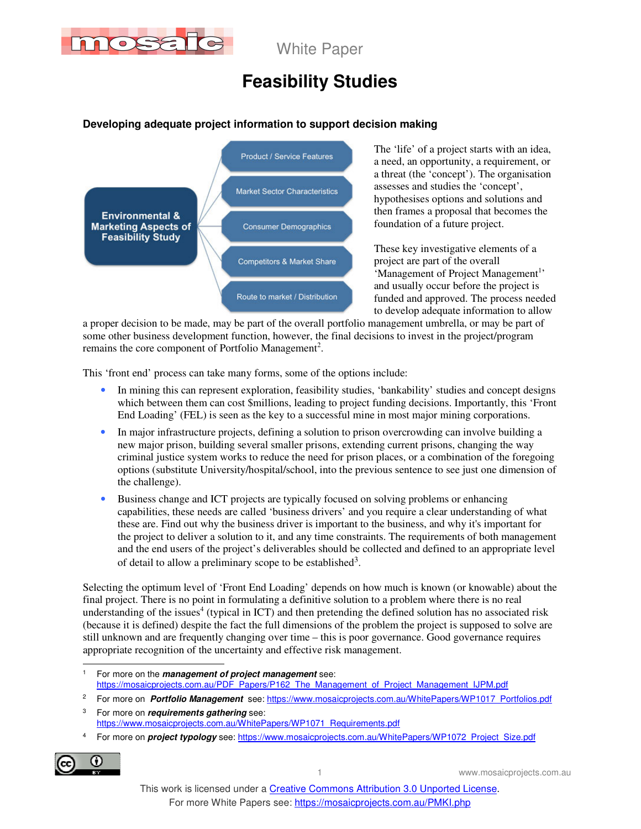

# **Feasibility Studies**

#### **Developing adequate project information to support decision making**



The 'life' of a project starts with an idea, a need, an opportunity, a requirement, or a threat (the 'concept'). The organisation assesses and studies the 'concept', hypothesises options and solutions and then frames a proposal that becomes the foundation of a future project.

These key investigative elements of a project are part of the overall 'Management of Project Management<sup>1</sup>' and usually occur before the project is funded and approved. The process needed to develop adequate information to allow

a proper decision to be made, may be part of the overall portfolio management umbrella, or may be part of some other business development function, however, the final decisions to invest in the project/program remains the core component of Portfolio Management<sup>2</sup>.

This 'front end' process can take many forms, some of the options include:

- In mining this can represent exploration, feasibility studies, 'bankability' studies and concept designs which between them can cost \$millions, leading to project funding decisions. Importantly, this 'Front End Loading' (FEL) is seen as the key to a successful mine in most major mining corporations.
- In major infrastructure projects, defining a solution to prison overcrowding can involve building a new major prison, building several smaller prisons, extending current prisons, changing the way criminal justice system works to reduce the need for prison places, or a combination of the foregoing options (substitute University/hospital/school, into the previous sentence to see just one dimension of the challenge).
- Business change and ICT projects are typically focused on solving problems or enhancing capabilities, these needs are called 'business drivers' and you require a clear understanding of what these are. Find out why the business driver is important to the business, and why it's important for the project to deliver a solution to it, and any time constraints. The requirements of both management and the end users of the project's deliverables should be collected and defined to an appropriate level of detail to allow a preliminary scope to be established<sup>3</sup>.

Selecting the optimum level of 'Front End Loading' depends on how much is known (or knowable) about the final project. There is no point in formulating a definitive solution to a problem where there is no real understanding of the issues<sup>4</sup> (typical in ICT) and then pretending the defined solution has no associated risk (because it is defined) despite the fact the full dimensions of the problem the project is supposed to solve are still unknown and are frequently changing over time – this is poor governance. Good governance requires appropriate recognition of the uncertainty and effective risk management.

<sup>4</sup> For more on **project typology** see: https://www.mosaicprojects.com.au/WhitePapers/WP1072\_Project\_Size.pdf



<sup>|&</sup>lt;br>1 For more on the **management of project management** see: https://mosaicprojects.com.au/PDF\_Papers/P162\_The\_Management\_of\_Project\_Management\_IJPM.pdf

<sup>2</sup> For more on **Portfolio Management** see: https://www.mosaicprojects.com.au/WhitePapers/WP1017\_Portfolios.pdf

<sup>3</sup> For more on **requirements gathering** see: https://www.mosaicprojects.com.au/WhitePapers/WP1071\_Requirements.pdf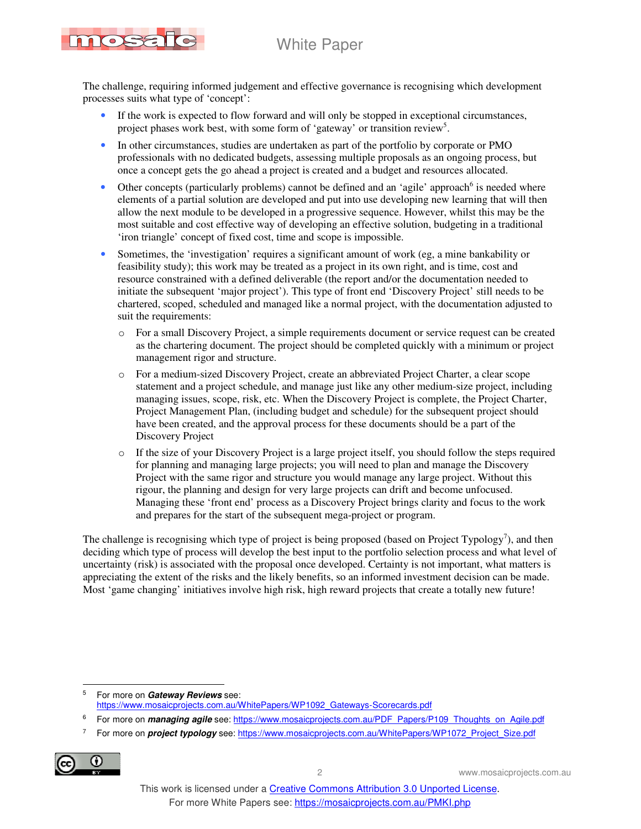

The challenge, requiring informed judgement and effective governance is recognising which development processes suits what type of 'concept':

- If the work is expected to flow forward and will only be stopped in exceptional circumstances, project phases work best, with some form of 'gateway' or transition review<sup>5</sup>.
- In other circumstances, studies are undertaken as part of the portfolio by corporate or PMO professionals with no dedicated budgets, assessing multiple proposals as an ongoing process, but once a concept gets the go ahead a project is created and a budget and resources allocated.
- Other concepts (particularly problems) cannot be defined and an 'agile' approach<sup>6</sup> is needed where elements of a partial solution are developed and put into use developing new learning that will then allow the next module to be developed in a progressive sequence. However, whilst this may be the most suitable and cost effective way of developing an effective solution, budgeting in a traditional 'iron triangle' concept of fixed cost, time and scope is impossible.
- Sometimes, the 'investigation' requires a significant amount of work (eg, a mine bankability or feasibility study); this work may be treated as a project in its own right, and is time, cost and resource constrained with a defined deliverable (the report and/or the documentation needed to initiate the subsequent 'major project'). This type of front end 'Discovery Project' still needs to be chartered, scoped, scheduled and managed like a normal project, with the documentation adjusted to suit the requirements:
	- o For a small Discovery Project, a simple requirements document or service request can be created as the chartering document. The project should be completed quickly with a minimum or project management rigor and structure.
	- o For a medium-sized Discovery Project, create an abbreviated Project Charter, a clear scope statement and a project schedule, and manage just like any other medium-size project, including managing issues, scope, risk, etc. When the Discovery Project is complete, the Project Charter, Project Management Plan, (including budget and schedule) for the subsequent project should have been created, and the approval process for these documents should be a part of the Discovery Project
	- If the size of your Discovery Project is a large project itself, you should follow the steps required for planning and managing large projects; you will need to plan and manage the Discovery Project with the same rigor and structure you would manage any large project. Without this rigour, the planning and design for very large projects can drift and become unfocused. Managing these 'front end' process as a Discovery Project brings clarity and focus to the work and prepares for the start of the subsequent mega-project or program.

The challenge is recognising which type of project is being proposed (based on Project Typology<sup>7</sup>), and then deciding which type of process will develop the best input to the portfolio selection process and what level of uncertainty (risk) is associated with the proposal once developed. Certainty is not important, what matters is appreciating the extent of the risks and the likely benefits, so an informed investment decision can be made. Most 'game changing' initiatives involve high risk, high reward projects that create a totally new future!

<sup>7</sup> For more on *project typology* see: https://www.mosaicprojects.com.au/WhitePapers/WP1072\_Project\_Size.pdf



 $\overline{a}$ 5 For more on **Gateway Reviews** see: https://www.mosaicprojects.com.au/WhitePapers/WP1092\_Gateways-Scorecards.pdf

<sup>6</sup> For more on *managing agile* see: https://www.mosaicprojects.com.au/PDF\_Papers/P109\_Thoughts\_on\_Agile.pdf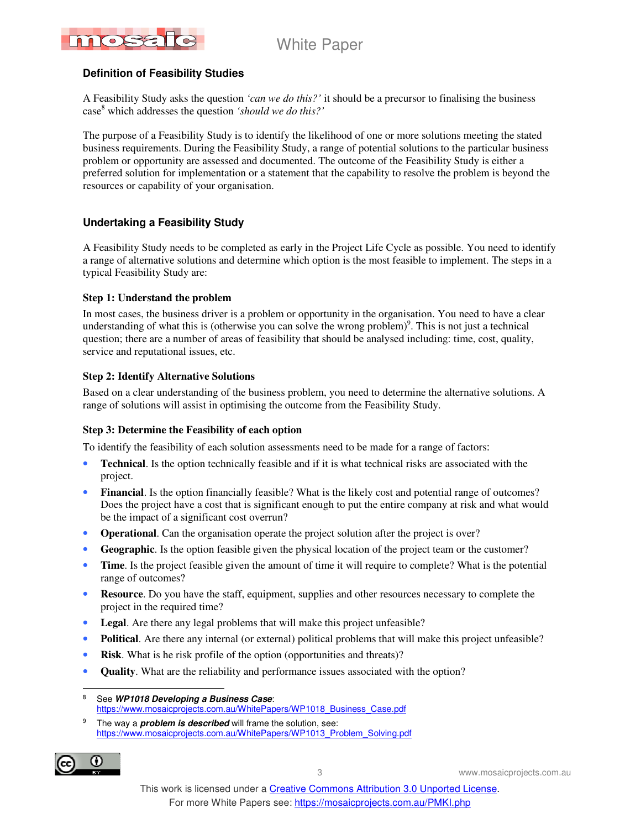

#### **Definition of Feasibility Studies**

A Feasibility Study asks the question *'can we do this?'* it should be a precursor to finalising the business case<sup>8</sup> which addresses the question *'should we do this?'*

The purpose of a Feasibility Study is to identify the likelihood of one or more solutions meeting the stated business requirements. During the Feasibility Study, a range of potential solutions to the particular business problem or opportunity are assessed and documented. The outcome of the Feasibility Study is either a preferred solution for implementation or a statement that the capability to resolve the problem is beyond the resources or capability of your organisation.

#### **Undertaking a Feasibility Study**

A Feasibility Study needs to be completed as early in the Project Life Cycle as possible. You need to identify a range of alternative solutions and determine which option is the most feasible to implement. The steps in a typical Feasibility Study are:

#### **Step 1: Understand the problem**

In most cases, the business driver is a problem or opportunity in the organisation. You need to have a clear understanding of what this is (otherwise you can solve the wrong problem)<sup>9</sup>. This is not just a technical question; there are a number of areas of feasibility that should be analysed including: time, cost, quality, service and reputational issues, etc.

#### **Step 2: Identify Alternative Solutions**

Based on a clear understanding of the business problem, you need to determine the alternative solutions. A range of solutions will assist in optimising the outcome from the Feasibility Study.

#### **Step 3: Determine the Feasibility of each option**

To identify the feasibility of each solution assessments need to be made for a range of factors:

- **Technical.** Is the option technically feasible and if it is what technical risks are associated with the project.
- **Financial**. Is the option financially feasible? What is the likely cost and potential range of outcomes? Does the project have a cost that is significant enough to put the entire company at risk and what would be the impact of a significant cost overrun?
- **Operational.** Can the organisation operate the project solution after the project is over?
- **Geographic**. Is the option feasible given the physical location of the project team or the customer?
- **Time**. Is the project feasible given the amount of time it will require to complete? What is the potential range of outcomes?
- **Resource**. Do you have the staff, equipment, supplies and other resources necessary to complete the project in the required time?
- Legal. Are there any legal problems that will make this project unfeasible?
- **Political**. Are there any internal (or external) political problems that will make this project unfeasible?
- **Risk**. What is he risk profile of the option (opportunities and threats)?
- **Quality**. What are the reliability and performance issues associated with the option?

<sup>9</sup> The way a **problem is described** will frame the solution, see: https://www.mosaicprojects.com.au/WhitePapers/WP1013\_Problem\_Solving.pdf



<sup>-&</sup>lt;br>8 See **WP1018 Developing a Business Case**: https://www.mosaicprojects.com.au/WhitePapers/WP1018\_Business\_Case.pdf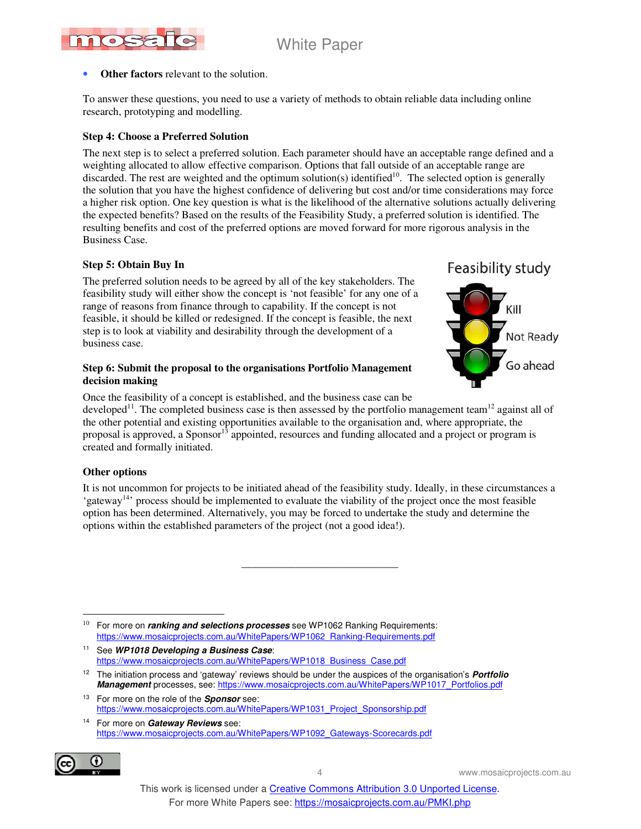

#### **Other factors** relevant to the solution.

To answer these questions, you need to use a variety of methods to obtain reliable data including online research, prototyping and modelling.

#### **Step 4: Choose a Preferred Solution**

The next step is to select a preferred solution. Each parameter should have an acceptable range defined and a weighting allocated to allow effective comparison. Options that fall outside of an acceptable range are discarded. The rest are weighted and the optimum solution(s) identified $10$ . The selected option is generally the solution that you have the highest confidence of delivering but cost and/or time considerations may force a higher risk option. One key question is what is the likelihood of the alternative solutions actually delivering the expected benefits? Based on the results of the Feasibility Study, a preferred solution is identified. The resulting benefits and cost of the preferred options are moved forward for more rigorous analysis in the Business Case.

#### **Step 5: Obtain Buy In**

The preferred solution needs to be agreed by all of the key stakeholders. The feasibility study will either show the concept is 'not feasible' for any one of a range of reasons from finance through to capability. If the concept is not feasible, it should be killed or redesigned. If the concept is feasible, the next step is to look at viability and desirability through the development of a business case.

#### **Step 6: Submit the proposal to the organisations Portfolio Management decision making**

Feasibility study



Once the feasibility of a concept is established, and the business case can be developed<sup>11</sup>. The completed business case is then assessed by the portfolio management team<sup>12</sup> against all of the other potential and existing opportunities available to the organisation and, where appropriate, the proposal is approved, a Sponsor<sup>13</sup> appointed, resources and funding allocated and a project or program is created and formally initiated.

#### **Other options**

It is not uncommon for projects to be initiated ahead of the feasibility study. Ideally, in these circumstances a 'gateway<sup>14</sup>' process should be implemented to evaluate the viability of the project once the most feasible option has been determined. Alternatively, you may be forced to undertake the study and determine the options within the established parameters of the project (not a good idea!).

\_\_\_\_\_\_\_\_\_\_\_\_\_\_\_\_\_\_\_\_\_\_\_\_\_\_\_\_\_

 $\overline{a}$ 10 For more on **ranking and selections processes** see WP1062 Ranking Requirements: https://www.mosaicprojects.com.au/WhitePapers/WP1062\_Ranking-Requirements.pdf

<sup>11</sup> See **WP1018 Developing a Business Case**: https://www.mosaicprojects.com.au/WhitePapers/WP1018\_Business\_Case.pdf

<sup>13</sup> For more on the role of the **Sponsor** see: https://www.mosaicprojects.com.au/WhitePapers/WP1031\_Project\_Sponsorship.pdf

<sup>14</sup> For more on **Gateway Reviews** see: https://www.mosaicprojects.com.au/WhitePapers/WP1092\_Gateways-Scorecards.pdf



<sup>12</sup> The initiation process and 'gateway' reviews should be under the auspices of the organisation's **Portfolio Management** processes, see: https://www.mosaicprojects.com.au/WhitePapers/WP1017\_Portfolios.pdf